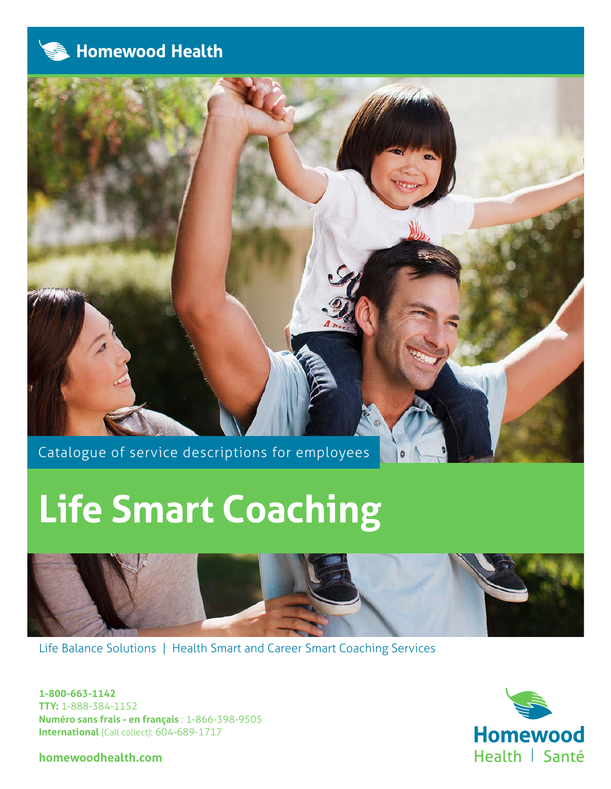



Catalogue of service descriptions for employees

# **Life Smart Coaching**



Ö

Life Balance Solutions | Health Smart and Career Smart Coaching Services

**1-800-663-1142 TTY:** 1-888-384-1152 **Numéro sans frais - en français** : 1-866-398-9505 **International** (Call collect): 604-689-1717

**homewoodhealth.com**

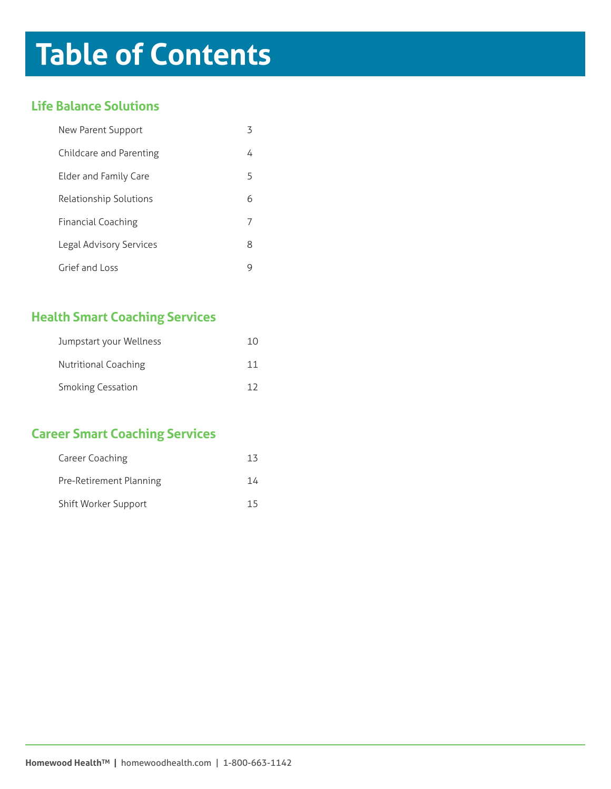## **Table of Contents**

## **Life Balance Solutions**

| New Parent Support        |   |
|---------------------------|---|
| Childcare and Parenting   | 4 |
| Elder and Family Care     | 5 |
| Relationship Solutions    | h |
| <b>Financial Coaching</b> |   |
| Legal Advisory Services   | 8 |
| Grief and Loss            |   |

## **Health Smart Coaching Services**

| Jumpstart your Wellness  | 10 |
|--------------------------|----|
| Nutritional Coaching     | 11 |
| <b>Smoking Cessation</b> |    |

## **Career Smart Coaching Services**

| Career Coaching         | 1.4 |
|-------------------------|-----|
| Pre-Retirement Planning | 14  |
| Shift Worker Support    | 15  |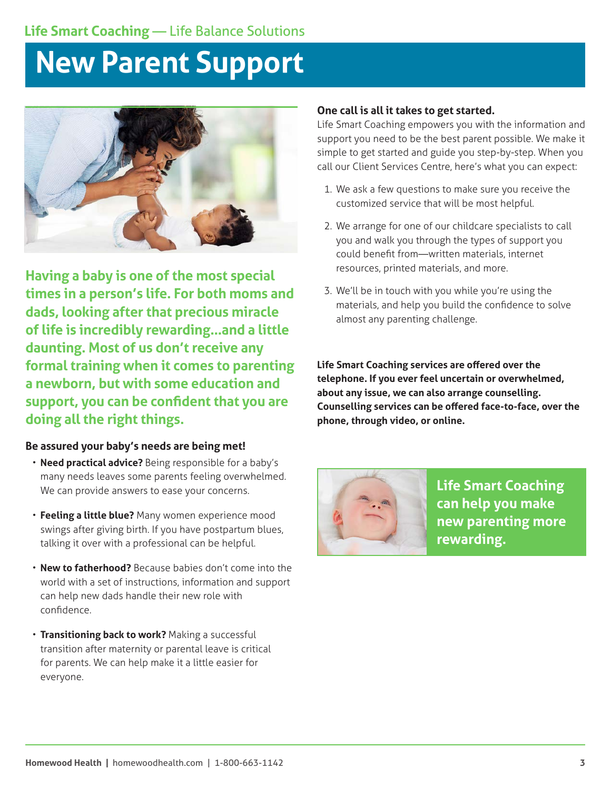## **New Parent Support**



**Having a baby is one of the most special times in a person's life. For both moms and dads, looking after that precious miracle of life is incredibly rewarding…and a little daunting. Most of us don't receive any formal training when it comes to parenting a newborn, but with some education and support, you can be confident that you are doing all the right things.**

#### **Be assured your baby's needs are being met!**

- **Need practical advice?** Being responsible for a baby's many needs leaves some parents feeling overwhelmed. We can provide answers to ease your concerns.
- **Feeling a little blue?** Many women experience mood swings after giving birth. If you have postpartum blues, talking it over with a professional can be helpful.
- **New to fatherhood?** Because babies don't come into the world with a set of instructions, information and support can help new dads handle their new role with confidence.
- **Transitioning back to work?** Making a successful transition after maternity or parental leave is critical for parents. We can help make it a little easier for everyone.

#### **One call is all it takes to get started.**

Life Smart Coaching empowers you with the information and support you need to be the best parent possible. We make it simple to get started and guide you step-by-step. When you call our Client Services Centre, here's what you can expect:

- 1. We ask a few questions to make sure you receive the customized service that will be most helpful.
- 2. We arrange for one of our childcare specialists to call you and walk you through the types of support you could benefit from—written materials, internet resources, printed materials, and more.
- 3. We'll be in touch with you while you're using the materials, and help you build the confidence to solve almost any parenting challenge.

**Life Smart Coaching services are offered over the telephone. If you ever feel uncertain or overwhelmed, about any issue, we can also arrange counselling. Counselling services can be offered face-to-face, over the phone, through video, or online.**



**Life Smart Coaching can help you make new parenting more rewarding.**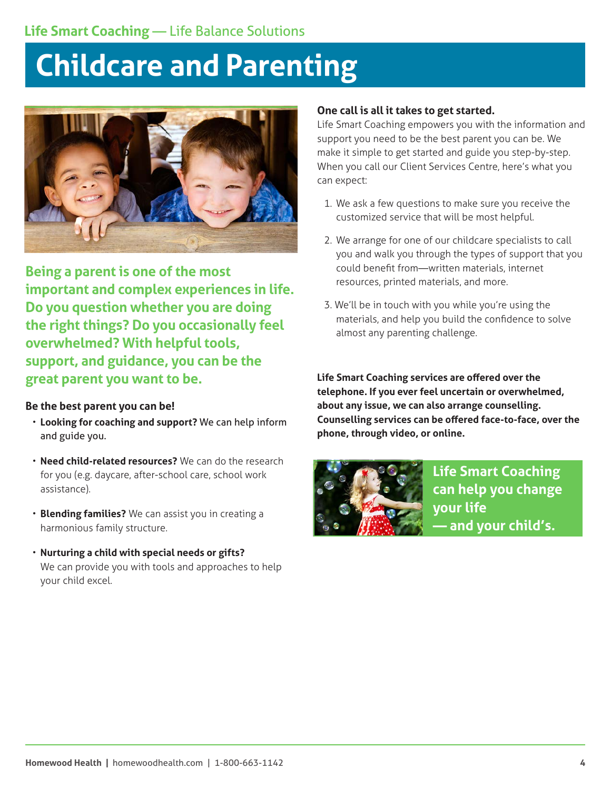## **Childcare and Parenting**



**Being a parent is one of the most important and complex experiences in life. Do you question whether you are doing the right things? Do you occasionally feel overwhelmed? With helpful tools, support, and guidance, you can be the great parent you want to be.**

## **Be the best parent you can be!**

- **Looking for coaching and support?** We can help inform and guide you.
- **Need child-related resources?** We can do the research for you (e.g. daycare, after-school care, school work assistance).
- **Blending families?** We can assist you in creating a harmonious family structure.
- **Nurturing a child with special needs or gifts?** We can provide you with tools and approaches to help your child excel.

### **One call is all it takes to get started.**

Life Smart Coaching empowers you with the information and support you need to be the best parent you can be. We make it simple to get started and guide you step-by-step. When you call our Client Services Centre, here's what you can expect:

- 1. We ask a few questions to make sure you receive the customized service that will be most helpful.
- 2. We arrange for one of our childcare specialists to call you and walk you through the types of support that you could benefit from—written materials, internet resources, printed materials, and more.
- 3. We'll be in touch with you while you're using the materials, and help you build the confidence to solve almost any parenting challenge.

**Life Smart Coaching services are offered over the telephone. If you ever feel uncertain or overwhelmed, about any issue, we can also arrange counselling. Counselling services can be offered face-to-face, over the phone, through video, or online.** 



**Life Smart Coaching can help you change your life — and your child's.**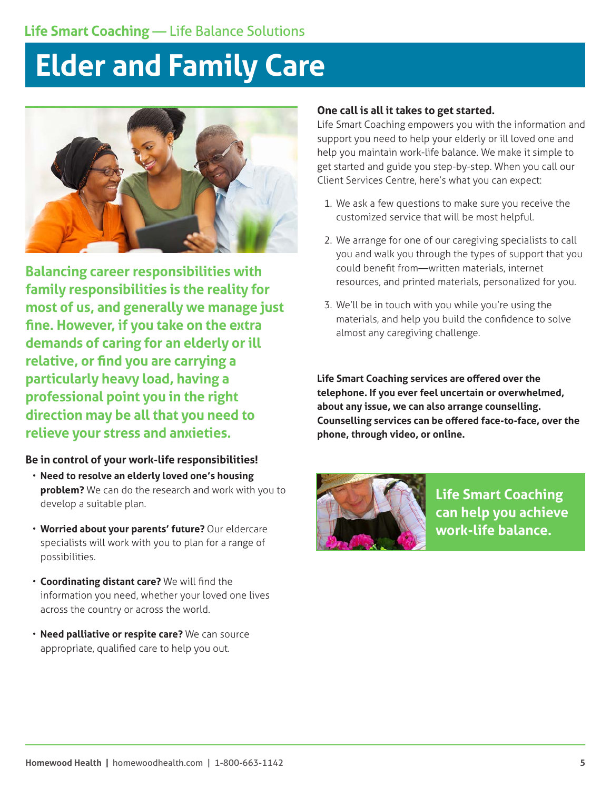## **Elder and Family Care**



**Balancing career responsibilities with family responsibilities is the reality for most of us, and generally we manage just fine. However, if you take on the extra demands of caring for an elderly or ill relative, or find you are carrying a particularly heavy load, having a professional point you in the right direction may be all that you need to relieve your stress and anxieties.**

#### **Be in control of your work-life responsibilities!**

- **Need to resolve an elderly loved one's housing problem?** We can do the research and work with you to develop a suitable plan.
- **Worried about your parents' future?** Our eldercare specialists will work with you to plan for a range of possibilities.
- **Coordinating distant care?** We will find the information you need, whether your loved one lives across the country or across the world.
- **Need palliative or respite care?** We can source appropriate, qualified care to help you out.

### **One call is all it takes to get started.**

Life Smart Coaching empowers you with the information and support you need to help your elderly or ill loved one and help you maintain work-life balance. We make it simple to get started and guide you step-by-step. When you call our Client Services Centre, here's what you can expect:

- 1. We ask a few questions to make sure you receive the customized service that will be most helpful.
- 2. We arrange for one of our caregiving specialists to call you and walk you through the types of support that you could benefit from—written materials, internet resources, and printed materials, personalized for you.
- 3. We'll be in touch with you while you're using the materials, and help you build the confidence to solve almost any caregiving challenge.

**Life Smart Coaching services are offered over the telephone. If you ever feel uncertain or overwhelmed, about any issue, we can also arrange counselling. Counselling services can be offered face-to-face, over the phone, through video, or online.**



**Life Smart Coaching can help you achieve work-life balance.**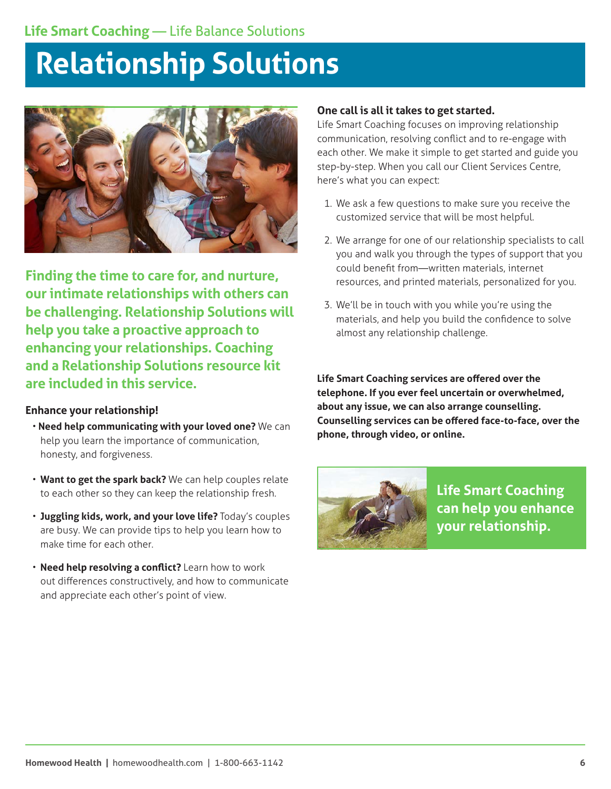## **Relationship Solutions**



**Finding the time to care for, and nurture, our intimate relationships with others can be challenging. Relationship Solutions will help you take a proactive approach to enhancing your relationships. Coaching and a Relationship Solutions resource kit are included in this service.**

## **Enhance your relationship!**

- • **Need help communicating with your loved one?** We can help you learn the importance of communication, honesty, and forgiveness.
- **Want to get the spark back?** We can help couples relate to each other so they can keep the relationship fresh.
- **Juggling kids, work, and your love life?** Today's couples are busy. We can provide tips to help you learn how to make time for each other.
- **Need help resolving a conflict?** Learn how to work out differences constructively, and how to communicate and appreciate each other's point of view.

### **One call is all it takes to get started.**

Life Smart Coaching focuses on improving relationship communication, resolving conflict and to re-engage with each other. We make it simple to get started and guide you step-by-step. When you call our Client Services Centre, here's what you can expect:

- 1. We ask a few questions to make sure you receive the customized service that will be most helpful.
- 2. We arrange for one of our relationship specialists to call you and walk you through the types of support that you could benefit from—written materials, internet resources, and printed materials, personalized for you.
- 3. We'll be in touch with you while you're using the materials, and help you build the confidence to solve almost any relationship challenge.

**Life Smart Coaching services are offered over the telephone. If you ever feel uncertain or overwhelmed, about any issue, we can also arrange counselling. Counselling services can be offered face-to-face, over the phone, through video, or online.**



**Life Smart Coaching can help you enhance your relationship.**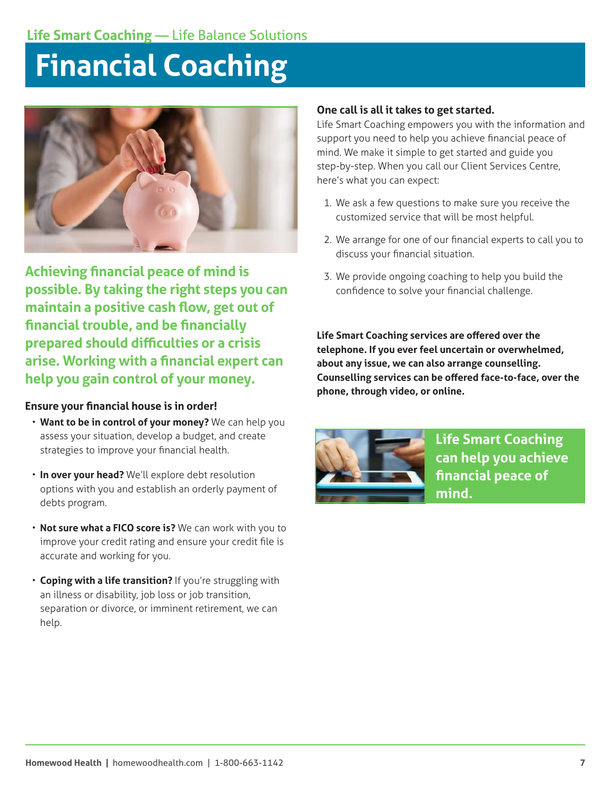## **Financial Coaching**



**Achieving financial peace of mind is possible. By taking the right steps you can maintain a positive cash flow, get out of financial trouble, and be financially prepared should difficulties or a crisis arise. Working with a financial expert can help you gain control of your money.** 

#### **Ensure your financial house is in order!**

- **Want to be in control of your money?** We can help you assess your situation, develop a budget, and create strategies to improve your financial health.
- **In over your head?** We'll explore debt resolution options with you and establish an orderly payment of debts program.
- **Not sure what a FICO score is?** We can work with you to improve your credit rating and ensure your credit file is accurate and working for you.
- **Coping with a life transition?** If you're struggling with an illness or disability, job loss or job transition, separation or divorce, or imminent retirement, we can help.

### **One call is all it takes to get started.**

Life Smart Coaching empowers you with the information and support you need to help you achieve financial peace of mind. We make it simple to get started and guide you step-by-step. When you call our Client Services Centre, here's what you can expect:

- 1. We ask a few questions to make sure you receive the customized service that will be most helpful.
- 2. We arrange for one of our financial experts to call you to discuss your financial situation.
- 3. We provide ongoing coaching to help you build the confidence to solve your financial challenge.

**Life Smart Coaching services are offered over the telephone. If you ever feel uncertain or overwhelmed, about any issue, we can also arrange counselling. Counselling services can be offered face-to-face, over the phone, through video, or online.**



**Life Smart Coaching can help you achieve financial peace of mind.**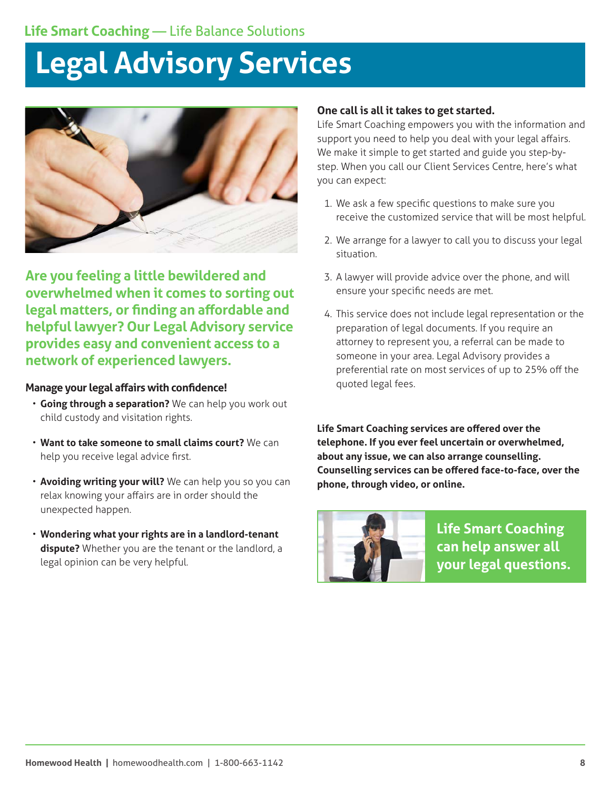## **Legal Advisory Services**



**Are you feeling a little bewildered and overwhelmed when it comes to sorting out legal matters, or finding an affordable and helpful lawyer? Our Legal Advisory service provides easy and convenient access to a network of experienced lawyers.**

#### **Manage your legal affairs with confidence!**

- **Going through a separation?** We can help you work out child custody and visitation rights.
- **Want to take someone to small claims court?** We can help you receive legal advice first.
- **Avoiding writing your will?** We can help you so you can relax knowing your affairs are in order should the unexpected happen.
- **Wondering what your rights are in a landlord-tenant dispute?** Whether you are the tenant or the landlord, a legal opinion can be very helpful.

#### **One call is all it takes to get started.**

Life Smart Coaching empowers you with the information and support you need to help you deal with your legal affairs. We make it simple to get started and guide you step-bystep. When you call our Client Services Centre, here's what you can expect:

- 1. We ask a few specific questions to make sure you receive the customized service that will be most helpful.
- 2. We arrange for a lawyer to call you to discuss your legal situation.
- 3. A lawyer will provide advice over the phone, and will ensure your specific needs are met.
- 4. This service does not include legal representation or the preparation of legal documents. If you require an attorney to represent you, a referral can be made to someone in your area. Legal Advisory provides a preferential rate on most services of up to 25% off the quoted legal fees.



**Life Smart Coaching can help answer all your legal questions.**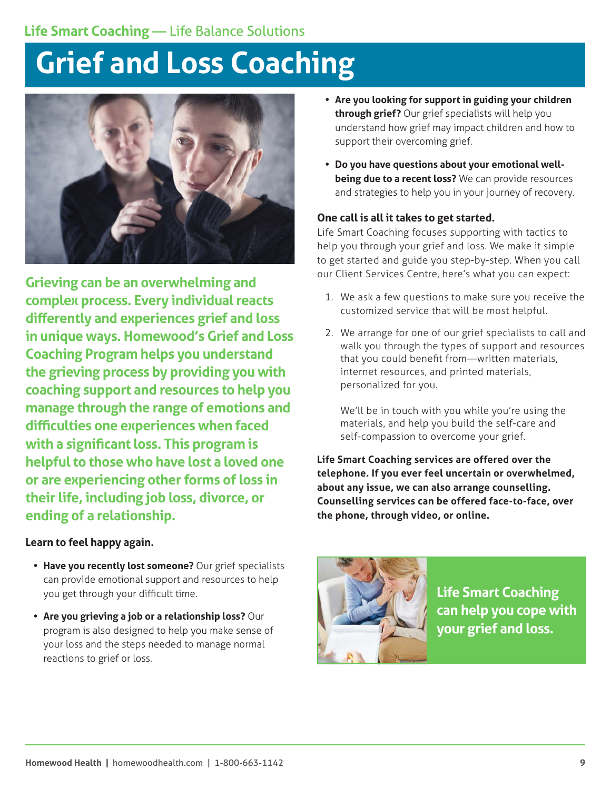## **Grief and Loss Coaching**



**Grieving can be an overwhelming and complex process. Every individual reacts differently and experiences grief and loss in unique ways. Homewood's Grief and Loss Coaching Program helps you understand the grieving process by providing you with coaching support and resources to help you manage through the range of emotions and difficulties one experiences when faced with a significant loss. This program is helpful to those who have lost a loved one or are experiencing other forms of loss in their life, including job loss, divorce, or ending of a relationship.**

**Learn to feel happy again.** 

- **• Have you recently lost someone?** Our grief specialists can provide emotional support and resources to help you get through your difficult time.
- **• Are you grieving a job or a relationship loss?** Our program is also designed to help you make sense of your loss and the steps needed to manage normal reactions to grief or loss.
- **• Are you looking for support in guiding your children through grief?** Our grief specialists will help you understand how grief may impact children and how to support their overcoming grief.
- **• Do you have questions about your emotional wellbeing due to a recent loss?** We can provide resources and strategies to help you in your journey of recovery.

## **One call is all it takes to get started.**

Life Smart Coaching focuses supporting with tactics to help you through your grief and loss. We make it simple to get started and guide you step-by-step. When you call our Client Services Centre, here's what you can expect:

- 1. We ask a few questions to make sure you receive the customized service that will be most helpful.
- 2. We arrange for one of our grief specialists to call and walk you through the types of support and resources that you could benefit from—written materials, internet resources, and printed materials, personalized for you.

We'll be in touch with you while you're using the materials, and help you build the self-care and self-compassion to overcome your grief.



**Life Smart Coaching can help you cope with your grief and loss.**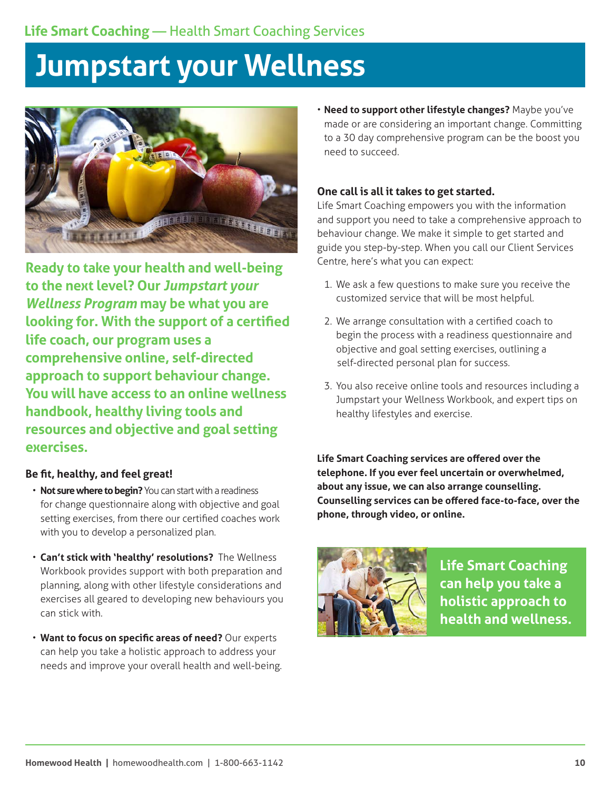## **Jumpstart your Wellness**



**Ready to take your health and well-being to the next level? Our** *Jumpstart your Wellness Program* **may be what you are looking for. With the support of a certified life coach, our program uses a comprehensive online, self-directed approach to support behaviour change. You will have access to an online wellness handbook, healthy living tools and resources and objective and goal setting exercises.**

## **Be fit, healthy, and feel great!**

- **Not sure where to begin?** You can start with a readiness for change questionnaire along with objective and goal setting exercises, from there our certified coaches work with you to develop a personalized plan.
- **Can't stick with 'healthy' resolutions?** The Wellness Workbook provides support with both preparation and planning, along with other lifestyle considerations and exercises all geared to developing new behaviours you can stick with.
- **Want to focus on specific areas of need?** Our experts can help you take a holistic approach to address your needs and improve your overall health and well-being.

• **Need to support other lifestyle changes?** Maybe you've made or are considering an important change. Committing to a 30 day comprehensive program can be the boost you need to succeed.

## **One call is all it takes to get started.**

Life Smart Coaching empowers you with the information and support you need to take a comprehensive approach to behaviour change. We make it simple to get started and guide you step-by-step. When you call our Client Services Centre, here's what you can expect:

- 1. We ask a few questions to make sure you receive the customized service that will be most helpful.
- 2. We arrange consultation with a certified coach to begin the process with a readiness questionnaire and objective and goal setting exercises, outlining a self-directed personal plan for success.
- 3. You also receive online tools and resources including a Jumpstart your Wellness Workbook, and expert tips on healthy lifestyles and exercise.



**Life Smart Coaching can help you take a holistic approach to health and wellness.**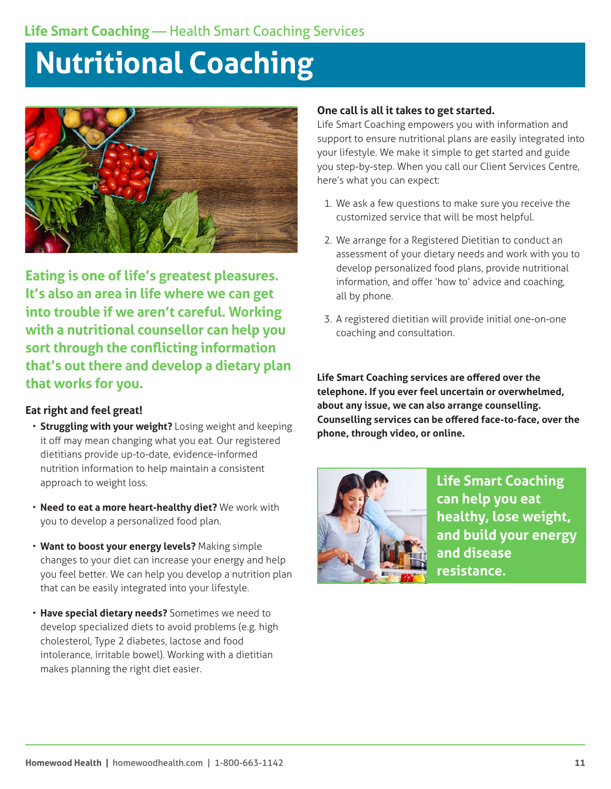## **Nutritional Coaching**



**Eating is one of life's greatest pleasures. It's also an area in life where we can get into trouble if we aren't careful. Working with a nutritional counsellor can help you sort through the conflicting information that's out there and develop a dietary plan that works for you.** 

## **Eat right and feel great!**

- **Struggling with your weight?** Losing weight and keeping it off may mean changing what you eat. Our registered dietitians provide up-to-date, evidence-informed nutrition information to help maintain a consistent approach to weight loss.
- **Need to eat a more heart-healthy diet?** We work with you to develop a personalized food plan.
- **Want to boost your energy levels?** Making simple changes to your diet can increase your energy and help you feel better. We can help you develop a nutrition plan that can be easily integrated into your lifestyle.
- **Have special dietary needs?** Sometimes we need to develop specialized diets to avoid problems (e.g. high cholesterol, Type 2 diabetes, lactose and food intolerance, irritable bowel). Working with a dietitian makes planning the right diet easier.

## **One call is all it takes to get started.**

Life Smart Coaching empowers you with information and support to ensure nutritional plans are easily integrated into your lifestyle. We make it simple to get started and guide you step-by-step. When you call our Client Services Centre, here's what you can expect:

- 1. We ask a few questions to make sure you receive the customized service that will be most helpful.
- 2. We arrange for a Registered Dietitian to conduct an assessment of your dietary needs and work with you to develop personalized food plans, provide nutritional information, and offer 'how to' advice and coaching, all by phone.
- 3. A registered dietitian will provide initial one-on-one coaching and consultation.

**Life Smart Coaching services are offered over the telephone. If you ever feel uncertain or overwhelmed, about any issue, we can also arrange counselling. Counselling services can be offered face-to-face, over the phone, through video, or online.** 



**Life Smart Coaching can help you eat healthy, lose weight, and build your energy and disease resistance.**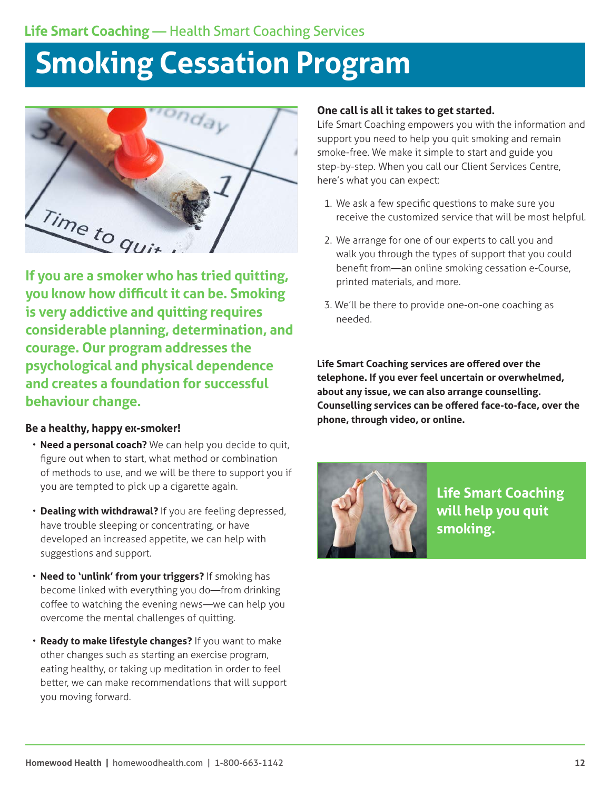## **Smoking Cessation Program**

<sup>ronday</sup> Time to quit

**If you are a smoker who has tried quitting, you know how difficult it can be. Smoking is very addictive and quitting requires considerable planning, determination, and courage. Our program addresses the psychological and physical dependence and creates a foundation for successful behaviour change.** 

## **Be a healthy, happy ex-smoker!**

- **Need a personal coach?** We can help you decide to quit, figure out when to start, what method or combination of methods to use, and we will be there to support you if you are tempted to pick up a cigarette again.
- **Dealing with withdrawal?** If you are feeling depressed, have trouble sleeping or concentrating, or have developed an increased appetite, we can help with suggestions and support.
- **Need to 'unlink' from your triggers?** If smoking has become linked with everything you do—from drinking coffee to watching the evening news—we can help you overcome the mental challenges of quitting.
- **Ready to make lifestyle changes?** If you want to make other changes such as starting an exercise program, eating healthy, or taking up meditation in order to feel better, we can make recommendations that will support you moving forward.

### **One call is all it takes to get started.**

Life Smart Coaching empowers you with the information and support you need to help you quit smoking and remain smoke-free. We make it simple to start and guide you step-by-step. When you call our Client Services Centre, here's what you can expect:

- 1. We ask a few specific questions to make sure you receive the customized service that will be most helpful.
- 2. We arrange for one of our experts to call you and walk you through the types of support that you could benefit from—an online smoking cessation e-Course, printed materials, and more.
- 3. We'll be there to provide one-on-one coaching as needed.

**Life Smart Coaching services are offered over the telephone. If you ever feel uncertain or overwhelmed, about any issue, we can also arrange counselling. Counselling services can be offered face-to-face, over the phone, through video, or online.** 



**Life Smart Coaching will help you quit smoking.**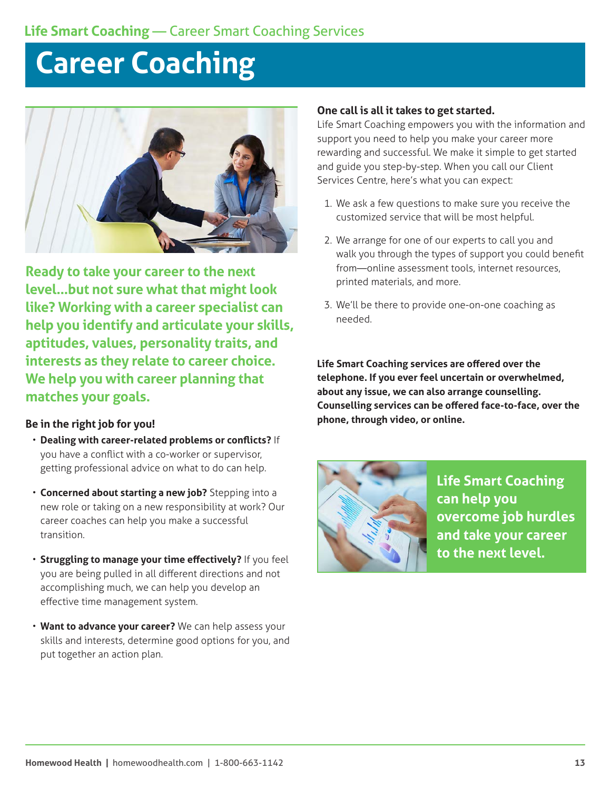## **Career Coaching**



**Ready to take your career to the next level…but not sure what that might look like? Working with a career specialist can help you identify and articulate your skills, aptitudes, values, personality traits, and interests as they relate to career choice. We help you with career planning that matches your goals.**

#### **Be in the right job for you!**

- **Dealing with career-related problems or conflicts?** If you have a conflict with a co-worker or supervisor, getting professional advice on what to do can help.
- **Concerned about starting a new job?** Stepping into a new role or taking on a new responsibility at work? Our career coaches can help you make a successful transition.
- **Struggling to manage your time effectively?** If you feel you are being pulled in all different directions and not accomplishing much, we can help you develop an effective time management system.
- **Want to advance your career?** We can help assess your skills and interests, determine good options for you, and put together an action plan.

### **One call is all it takes to get started.**

Life Smart Coaching empowers you with the information and support you need to help you make your career more rewarding and successful. We make it simple to get started and guide you step-by-step. When you call our Client Services Centre, here's what you can expect:

- 1. We ask a few questions to make sure you receive the customized service that will be most helpful.
- 2. We arrange for one of our experts to call you and walk you through the types of support you could benefit from—online assessment tools, internet resources, printed materials, and more.
- 3. We'll be there to provide one-on-one coaching as needed.

**Life Smart Coaching services are offered over the telephone. If you ever feel uncertain or overwhelmed, about any issue, we can also arrange counselling. Counselling services can be offered face-to-face, over the phone, through video, or online.**



**Life Smart Coaching can help you overcome job hurdles and take your career to the next level.**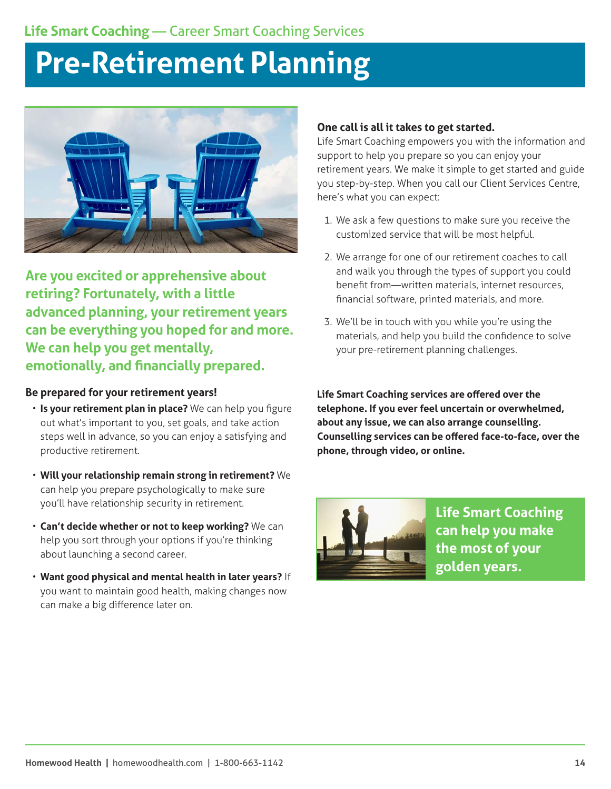## **Pre-Retirement Planning**



**Are you excited or apprehensive about retiring? Fortunately, with a little advanced planning, your retirement years can be everything you hoped for and more. We can help you get mentally, emotionally, and financially prepared.**

### **Be prepared for your retirement years!**

- **Is your retirement plan in place?** We can help you figure out what's important to you, set goals, and take action steps well in advance, so you can enjoy a satisfying and productive retirement.
- **Will your relationship remain strong in retirement?** We can help you prepare psychologically to make sure you'll have relationship security in retirement.
- **Can't decide whether or not to keep working?** We can help you sort through your options if you're thinking about launching a second career.
- **Want good physical and mental health in later years?** If you want to maintain good health, making changes now can make a big difference later on.

### **One call is all it takes to get started.**

Life Smart Coaching empowers you with the information and support to help you prepare so you can enjoy your retirement years. We make it simple to get started and guide you step-by-step. When you call our Client Services Centre, here's what you can expect:

- 1. We ask a few questions to make sure you receive the customized service that will be most helpful.
- 2. We arrange for one of our retirement coaches to call and walk you through the types of support you could benefit from—written materials, internet resources, financial software, printed materials, and more.
- 3. We'll be in touch with you while you're using the materials, and help you build the confidence to solve your pre-retirement planning challenges.



**Life Smart Coaching can help you make the most of your golden years.**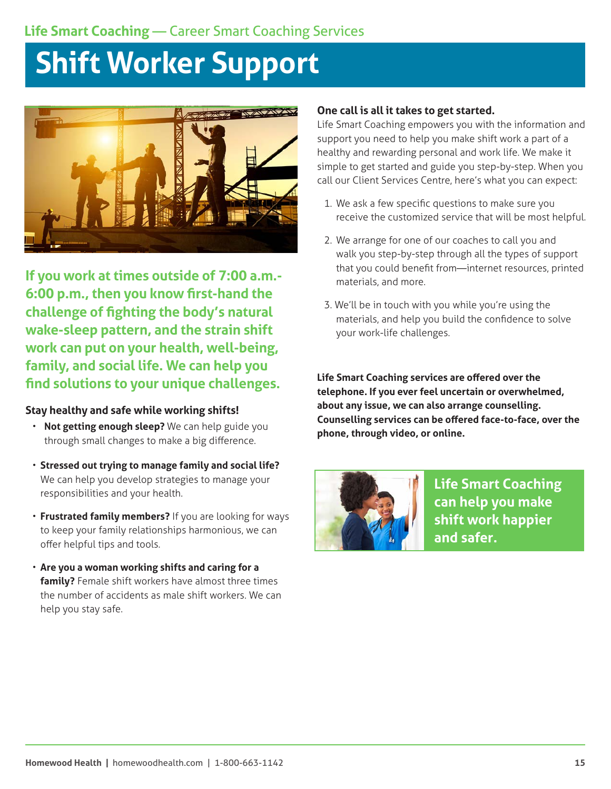## **Shift Worker Support**



**If you work at times outside of 7:00 a.m.- 6:00 p.m., then you know first-hand the challenge of fighting the body's natural wake-sleep pattern, and the strain shift work can put on your health, well-being, family, and social life. We can help you find solutions to your unique challenges.** 

## **Stay healthy and safe while working shifts!**

- **Not getting enough sleep?** We can help guide you through small changes to make a big difference.
- **Stressed out trying to manage family and social life?** We can help you develop strategies to manage your responsibilities and your health.
- **Frustrated family members?** If you are looking for ways to keep your family relationships harmonious, we can offer helpful tips and tools.
- **Are you a woman working shifts and caring for a family?** Female shift workers have almost three times the number of accidents as male shift workers. We can help you stay safe.

### **One call is all it takes to get started.**

Life Smart Coaching empowers you with the information and support you need to help you make shift work a part of a healthy and rewarding personal and work life. We make it simple to get started and guide you step-by-step. When you call our Client Services Centre, here's what you can expect:

- 1. We ask a few specific questions to make sure you receive the customized service that will be most helpful.
- 2. We arrange for one of our coaches to call you and walk you step-by-step through all the types of support that you could benefit from—internet resources, printed materials, and more.
- 3. We'll be in touch with you while you're using the materials, and help you build the confidence to solve your work-life challenges.

**Life Smart Coaching services are offered over the telephone. If you ever feel uncertain or overwhelmed, about any issue, we can also arrange counselling. Counselling services can be offered face-to-face, over the phone, through video, or online.** 



**Life Smart Coaching can help you make shift work happier and safer.**